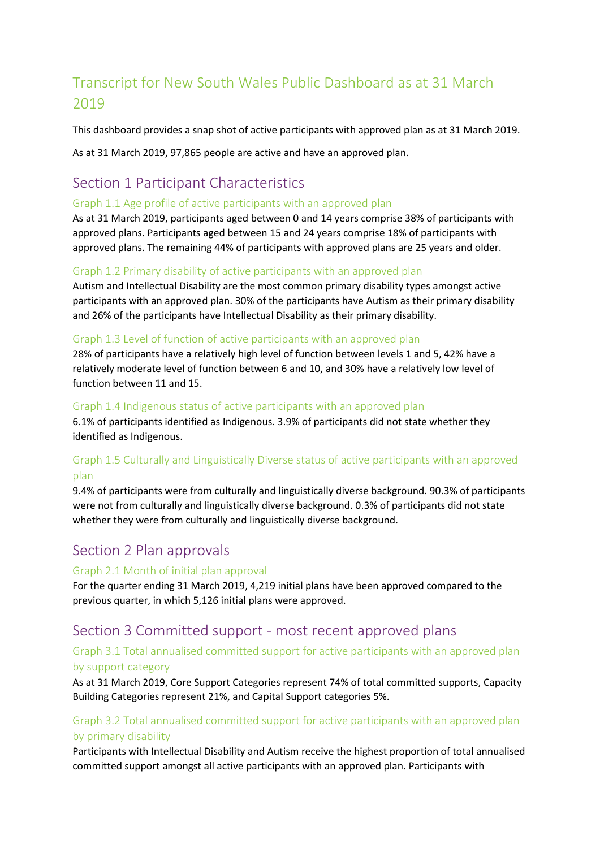# Transcript for New South Wales Public Dashboard as at 31 March 2019

This dashboard provides a snap shot of active participants with approved plan as at 31 March 2019.

As at 31 March 2019, 97,865 people are active and have an approved plan.

# Section 1 Participant Characteristics

#### Graph 1.1 Age profile of active participants with an approved plan

As at 31 March 2019, participants aged between 0 and 14 years comprise 38% of participants with approved plans. Participants aged between 15 and 24 years comprise 18% of participants with approved plans. The remaining 44% of participants with approved plans are 25 years and older.

#### Graph 1.2 Primary disability of active participants with an approved plan

Autism and Intellectual Disability are the most common primary disability types amongst active participants with an approved plan. 30% of the participants have Autism as their primary disability and 26% of the participants have Intellectual Disability as their primary disability.

#### Graph 1.3 Level of function of active participants with an approved plan

28% of participants have a relatively high level of function between levels 1 and 5, 42% have a relatively moderate level of function between 6 and 10, and 30% have a relatively low level of function between 11 and 15.

#### Graph 1.4 Indigenous status of active participants with an approved plan

6.1% of participants identified as Indigenous. 3.9% of participants did not state whether they identified as Indigenous.

# Graph 1.5 Culturally and Linguistically Diverse status of active participants with an approved plan

9.4% of participants were from culturally and linguistically diverse background. 90.3% of participants were not from culturally and linguistically diverse background. 0.3% of participants did not state whether they were from culturally and linguistically diverse background.

# Section 2 Plan approvals

#### Graph 2.1 Month of initial plan approval

For the quarter ending 31 March 2019, 4,219 initial plans have been approved compared to the previous quarter, in which 5,126 initial plans were approved.

# Section 3 Committed support - most recent approved plans

# Graph 3.1 Total annualised committed support for active participants with an approved plan by support category

As at 31 March 2019, Core Support Categories represent 74% of total committed supports, Capacity Building Categories represent 21%, and Capital Support categories 5%.

# Graph 3.2 Total annualised committed support for active participants with an approved plan by primary disability

Participants with Intellectual Disability and Autism receive the highest proportion of total annualised committed support amongst all active participants with an approved plan. Participants with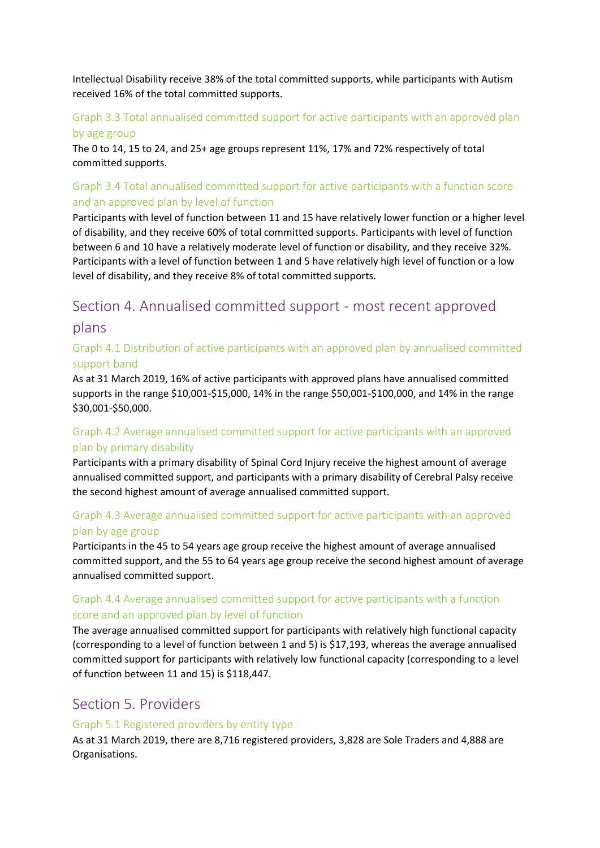Intellectual Disability receive 38% of the total committed supports, while participants with Autism received 16% of the total committed supports.

## Graph 3.3 Total annualised committed support for active participants with an approved plan by age group

The 0 to 14, 15 to 24, and 25+ age groups represent 11%, 17% and 72% respectively of total committed supports.

# Graph 3.4 Total annualised committed support for active participants with a function score and an approved plan by level of function

Participants with level of function between 11 and 15 have relatively lower function or a higher level of disability, and they receive 60% of total committed supports. Participants with level of function between 6 and 10 have a relatively moderate level of function or disability, and they receive 32%. Participants with a level of function between 1 and 5 have relatively high level of function or a low level of disability, and they receive 8% of total committed supports.

# Section 4. Annualised committed support - most recent approved plans

## Graph 4.1 Distribution of active participants with an approved plan by annualised committed support band

As at 31 March 2019, 16% of active participants with approved plans have annualised committed supports in the range \$10,001-\$15,000, 14% in the range \$50,001-\$100,000, and 14% in the range \$30,001-\$50,000.

# Graph 4.2 Average annualised committed support for active participants with an approved plan by primary disability

Participants with a primary disability of Spinal Cord Injury receive the highest amount of average annualised committed support, and participants with a primary disability of Cerebral Palsy receive the second highest amount of average annualised committed support.

# Graph 4.3 Average annualised committed support for active participants with an approved plan by age group

Participants in the 45 to 54 years age group receive the highest amount of average annualised committed support, and the 55 to 64 years age group receive the second highest amount of average annualised committed support.

# Graph 4.4 Average annualised committed support for active participants with a function score and an approved plan by level of function

The average annualised committed support for participants with relatively high functional capacity (corresponding to a level of function between 1 and 5) is \$17,193, whereas the average annualised committed support for participants with relatively low functional capacity (corresponding to a level of function between 11 and 15) is \$118,447.

# Section 5. Providers

#### Graph 5.1 Registered providers by entity type

As at 31 March 2019, there are 8,716 registered providers, 3,828 are Sole Traders and 4,888 are Organisations.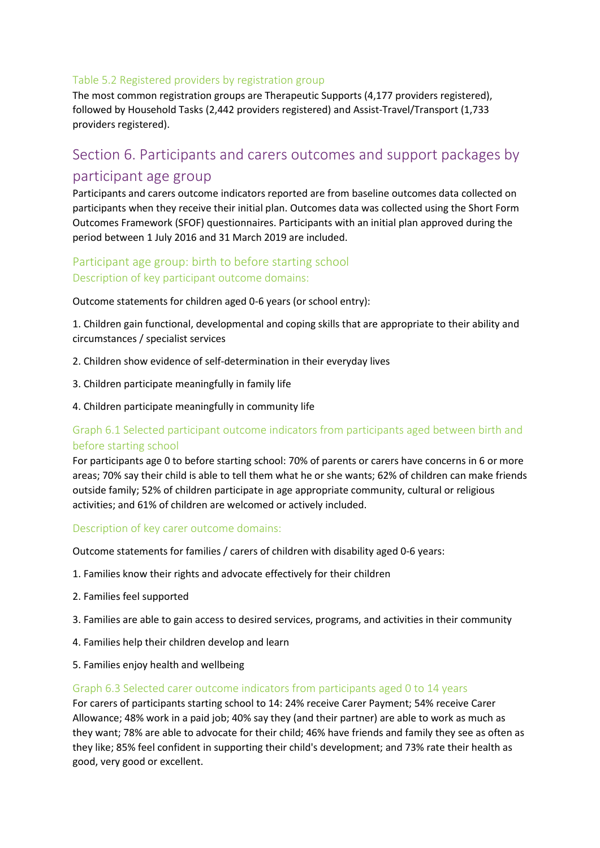#### Table 5.2 Registered providers by registration group

The most common registration groups are Therapeutic Supports (4,177 providers registered), followed by Household Tasks (2,442 providers registered) and Assist-Travel/Transport (1,733 providers registered).

# Section 6. Participants and carers outcomes and support packages by participant age group

Participants and carers outcome indicators reported are from baseline outcomes data collected on participants when they receive their initial plan. Outcomes data was collected using the Short Form Outcomes Framework (SFOF) questionnaires. Participants with an initial plan approved during the period between 1 July 2016 and 31 March 2019 are included.

# Participant age group: birth to before starting school Description of key participant outcome domains:

Outcome statements for children aged 0-6 years (or school entry):

1. Children gain functional, developmental and coping skills that are appropriate to their ability and circumstances / specialist services

- 2. Children show evidence of self-determination in their everyday lives
- 3. Children participate meaningfully in family life
- 4. Children participate meaningfully in community life

# Graph 6.1 Selected participant outcome indicators from participants aged between birth and before starting school

For participants age 0 to before starting school: 70% of parents or carers have concerns in 6 or more areas; 70% say their child is able to tell them what he or she wants; 62% of children can make friends outside family; 52% of children participate in age appropriate community, cultural or religious activities; and 61% of children are welcomed or actively included.

#### Description of key carer outcome domains:

Outcome statements for families / carers of children with disability aged 0-6 years:

- 1. Families know their rights and advocate effectively for their children
- 2. Families feel supported
- 3. Families are able to gain access to desired services, programs, and activities in their community
- 4. Families help their children develop and learn
- 5. Families enjoy health and wellbeing

#### Graph 6.3 Selected carer outcome indicators from participants aged 0 to 14 years

For carers of participants starting school to 14: 24% receive Carer Payment; 54% receive Carer Allowance; 48% work in a paid job; 40% say they (and their partner) are able to work as much as they want; 78% are able to advocate for their child; 46% have friends and family they see as often as they like; 85% feel confident in supporting their child's development; and 73% rate their health as good, very good or excellent.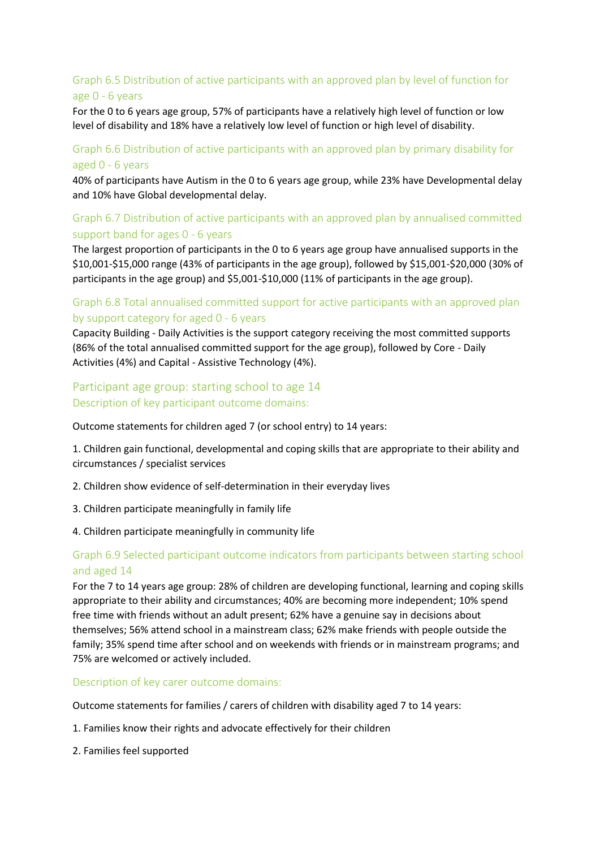# Graph 6.5 Distribution of active participants with an approved plan by level of function for age 0 - 6 years

For the 0 to 6 years age group, 57% of participants have a relatively high level of function or low level of disability and 18% have a relatively low level of function or high level of disability.

#### Graph 6.6 Distribution of active participants with an approved plan by primary disability for aged 0 - 6 years

40% of participants have Autism in the 0 to 6 years age group, while 23% have Developmental delay and 10% have Global developmental delay.

## Graph 6.7 Distribution of active participants with an approved plan by annualised committed support band for ages 0 - 6 years

The largest proportion of participants in the 0 to 6 years age group have annualised supports in the \$10,001-\$15,000 range (43% of participants in the age group), followed by \$15,001-\$20,000 (30% of participants in the age group) and \$5,001-\$10,000 (11% of participants in the age group).

#### Graph 6.8 Total annualised committed support for active participants with an approved plan by support category for aged 0 - 6 years

Capacity Building - Daily Activities is the support category receiving the most committed supports (86% of the total annualised committed support for the age group), followed by Core - Daily Activities (4%) and Capital - Assistive Technology (4%).

#### Participant age group: starting school to age 14 Description of key participant outcome domains:

Outcome statements for children aged 7 (or school entry) to 14 years:

1. Children gain functional, developmental and coping skills that are appropriate to their ability and circumstances / specialist services

- 2. Children show evidence of self-determination in their everyday lives
- 3. Children participate meaningfully in family life
- 4. Children participate meaningfully in community life

#### Graph 6.9 Selected participant outcome indicators from participants between starting school and aged 14

For the 7 to 14 years age group: 28% of children are developing functional, learning and coping skills appropriate to their ability and circumstances; 40% are becoming more independent; 10% spend free time with friends without an adult present; 62% have a genuine say in decisions about themselves; 56% attend school in a mainstream class; 62% make friends with people outside the family; 35% spend time after school and on weekends with friends or in mainstream programs; and 75% are welcomed or actively included.

Description of key carer outcome domains:

Outcome statements for families / carers of children with disability aged 7 to 14 years:

- 1. Families know their rights and advocate effectively for their children
- 2. Families feel supported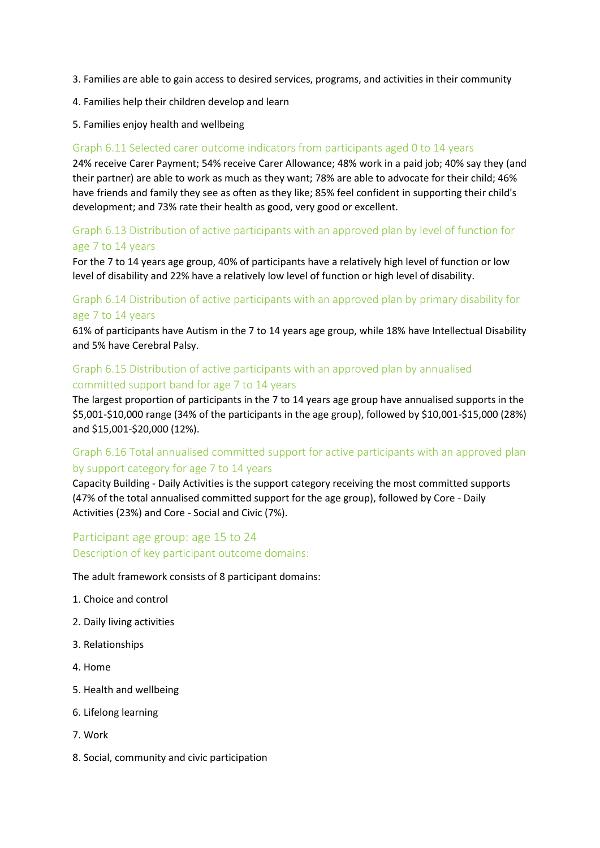- 3. Families are able to gain access to desired services, programs, and activities in their community
- 4. Families help their children develop and learn
- 5. Families enjoy health and wellbeing

#### Graph 6.11 Selected carer outcome indicators from participants aged 0 to 14 years

24% receive Carer Payment; 54% receive Carer Allowance; 48% work in a paid job; 40% say they (and their partner) are able to work as much as they want; 78% are able to advocate for their child; 46% have friends and family they see as often as they like; 85% feel confident in supporting their child's development; and 73% rate their health as good, very good or excellent.

#### Graph 6.13 Distribution of active participants with an approved plan by level of function for age 7 to 14 years

For the 7 to 14 years age group, 40% of participants have a relatively high level of function or low level of disability and 22% have a relatively low level of function or high level of disability.

## Graph 6.14 Distribution of active participants with an approved plan by primary disability for age 7 to 14 years

61% of participants have Autism in the 7 to 14 years age group, while 18% have Intellectual Disability and 5% have Cerebral Palsy.

#### Graph 6.15 Distribution of active participants with an approved plan by annualised committed support band for age 7 to 14 years

The largest proportion of participants in the 7 to 14 years age group have annualised supports in the \$5,001-\$10,000 range (34% of the participants in the age group), followed by \$10,001-\$15,000 (28%) and \$15,001-\$20,000 (12%).

# Graph 6.16 Total annualised committed support for active participants with an approved plan by support category for age 7 to 14 years

Capacity Building - Daily Activities is the support category receiving the most committed supports (47% of the total annualised committed support for the age group), followed by Core - Daily Activities (23%) and Core - Social and Civic (7%).

# Participant age group: age 15 to 24 Description of key participant outcome domains:

The adult framework consists of 8 participant domains:

- 1. Choice and control
- 2. Daily living activities
- 3. Relationships
- 4. Home
- 5. Health and wellbeing
- 6. Lifelong learning
- 7. Work
- 8. Social, community and civic participation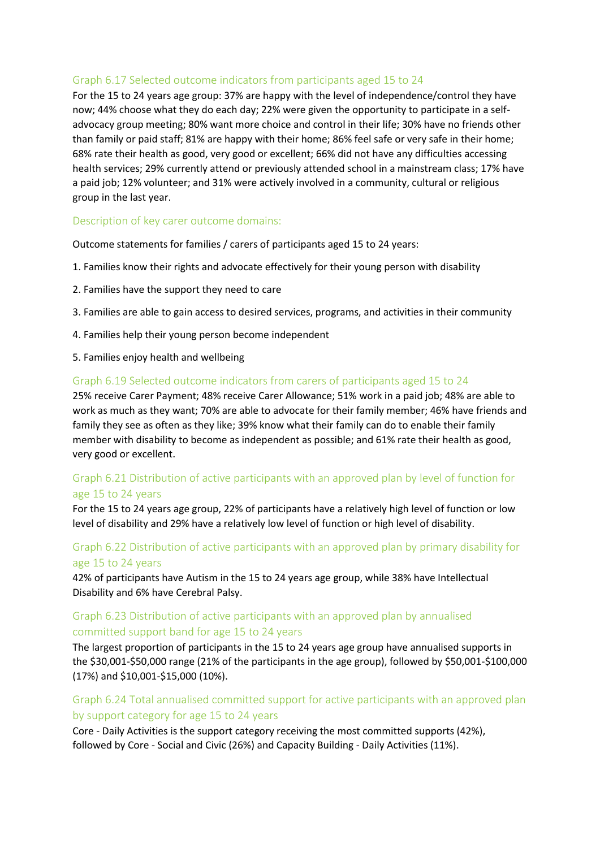#### Graph 6.17 Selected outcome indicators from participants aged 15 to 24

For the 15 to 24 years age group: 37% are happy with the level of independence/control they have now; 44% choose what they do each day; 22% were given the opportunity to participate in a selfadvocacy group meeting; 80% want more choice and control in their life; 30% have no friends other than family or paid staff; 81% are happy with their home; 86% feel safe or very safe in their home; 68% rate their health as good, very good or excellent; 66% did not have any difficulties accessing health services; 29% currently attend or previously attended school in a mainstream class; 17% have a paid job; 12% volunteer; and 31% were actively involved in a community, cultural or religious group in the last year.

#### Description of key carer outcome domains:

Outcome statements for families / carers of participants aged 15 to 24 years:

- 1. Families know their rights and advocate effectively for their young person with disability
- 2. Families have the support they need to care
- 3. Families are able to gain access to desired services, programs, and activities in their community
- 4. Families help their young person become independent
- 5. Families enjoy health and wellbeing

#### Graph 6.19 Selected outcome indicators from carers of participants aged 15 to 24

25% receive Carer Payment; 48% receive Carer Allowance; 51% work in a paid job; 48% are able to work as much as they want; 70% are able to advocate for their family member; 46% have friends and family they see as often as they like; 39% know what their family can do to enable their family member with disability to become as independent as possible; and 61% rate their health as good, very good or excellent.

#### Graph 6.21 Distribution of active participants with an approved plan by level of function for age 15 to 24 years

For the 15 to 24 years age group, 22% of participants have a relatively high level of function or low level of disability and 29% have a relatively low level of function or high level of disability.

#### Graph 6.22 Distribution of active participants with an approved plan by primary disability for age 15 to 24 years

42% of participants have Autism in the 15 to 24 years age group, while 38% have Intellectual Disability and 6% have Cerebral Palsy.

#### Graph 6.23 Distribution of active participants with an approved plan by annualised committed support band for age 15 to 24 years

The largest proportion of participants in the 15 to 24 years age group have annualised supports in the \$30,001-\$50,000 range (21% of the participants in the age group), followed by \$50,001-\$100,000 (17%) and \$10,001-\$15,000 (10%).

#### Graph 6.24 Total annualised committed support for active participants with an approved plan by support category for age 15 to 24 years

Core - Daily Activities is the support category receiving the most committed supports (42%), followed by Core - Social and Civic (26%) and Capacity Building - Daily Activities (11%).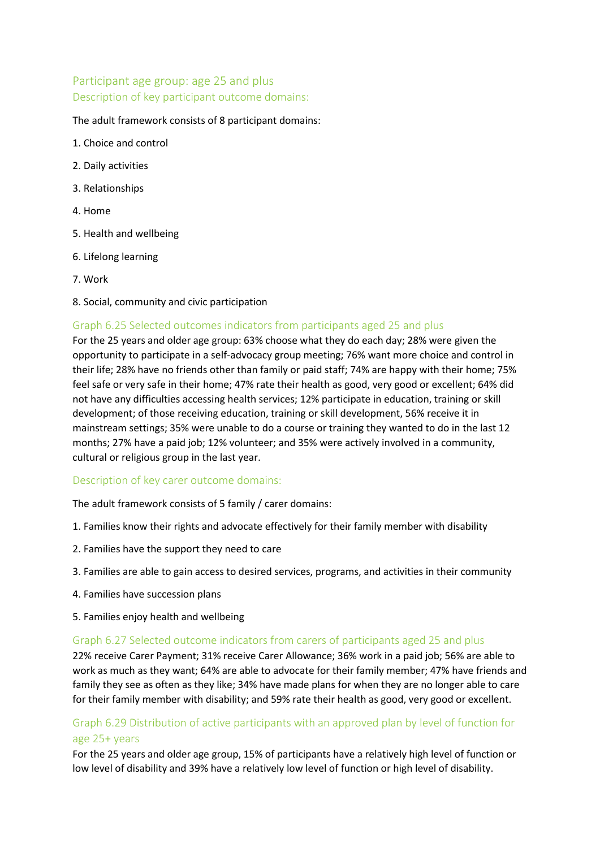# Participant age group: age 25 and plus Description of key participant outcome domains:

#### The adult framework consists of 8 participant domains:

- 1. Choice and control
- 2. Daily activities
- 3. Relationships
- 4. Home
- 5. Health and wellbeing
- 6. Lifelong learning
- 7. Work
- 8. Social, community and civic participation

#### Graph 6.25 Selected outcomes indicators from participants aged 25 and plus

For the 25 years and older age group: 63% choose what they do each day; 28% were given the opportunity to participate in a self-advocacy group meeting; 76% want more choice and control in their life; 28% have no friends other than family or paid staff; 74% are happy with their home; 75% feel safe or very safe in their home; 47% rate their health as good, very good or excellent; 64% did not have any difficulties accessing health services; 12% participate in education, training or skill development; of those receiving education, training or skill development, 56% receive it in mainstream settings; 35% were unable to do a course or training they wanted to do in the last 12 months; 27% have a paid job; 12% volunteer; and 35% were actively involved in a community, cultural or religious group in the last year.

#### Description of key carer outcome domains:

The adult framework consists of 5 family / carer domains:

- 1. Families know their rights and advocate effectively for their family member with disability
- 2. Families have the support they need to care
- 3. Families are able to gain access to desired services, programs, and activities in their community
- 4. Families have succession plans
- 5. Families enjoy health and wellbeing

#### Graph 6.27 Selected outcome indicators from carers of participants aged 25 and plus

22% receive Carer Payment; 31% receive Carer Allowance; 36% work in a paid job; 56% are able to work as much as they want; 64% are able to advocate for their family member; 47% have friends and family they see as often as they like; 34% have made plans for when they are no longer able to care for their family member with disability; and 59% rate their health as good, very good or excellent.

#### Graph 6.29 Distribution of active participants with an approved plan by level of function for age 25+ years

For the 25 years and older age group, 15% of participants have a relatively high level of function or low level of disability and 39% have a relatively low level of function or high level of disability.